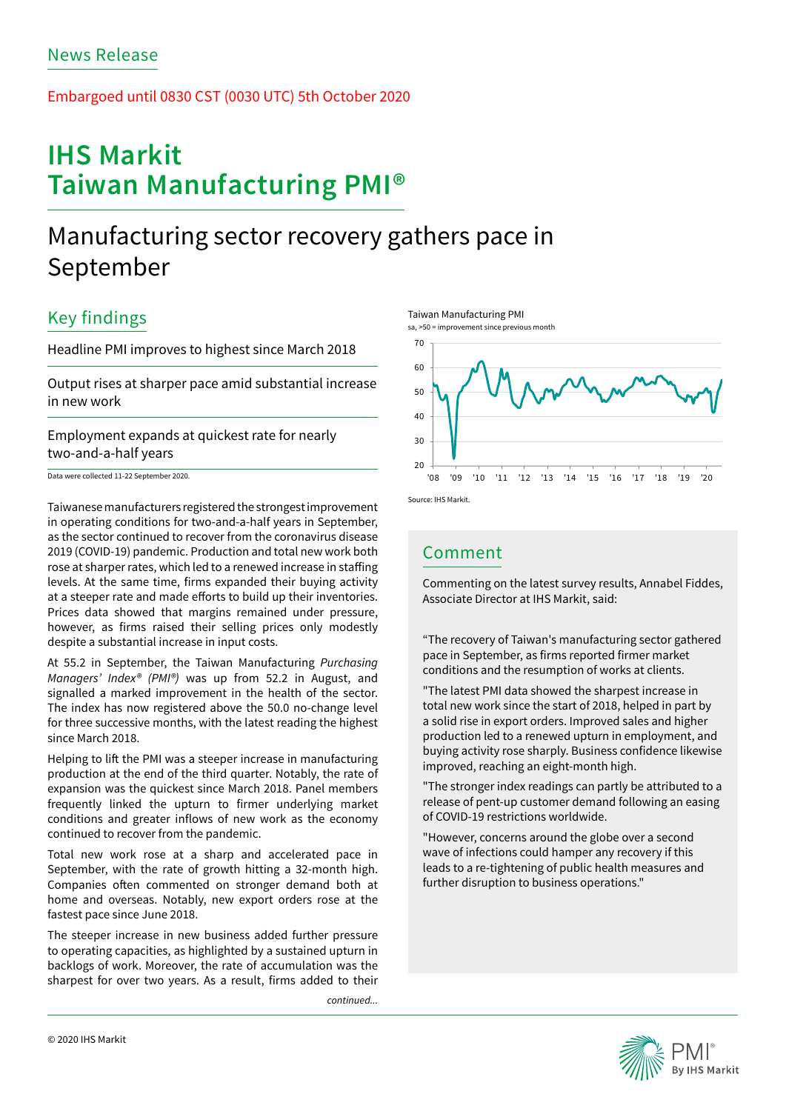### Embargoed until 0830 CST (0030 UTC) 5th October 2020

# **IHS Markit Taiwan Manufacturing PMI®**

# Manufacturing sector recovery gathers pace in September

## Key findings

Headline PMI improves to highest since March 2018

Output rises at sharper pace amid substantial increase in new work

Employment expands at quickest rate for nearly two-and-a-half years

Data were collected 11-22 September 2020.

Taiwanese manufacturers registered the strongest improvement in operating conditions for two-and-a-half years in September, as the sector continued to recover from the coronavirus disease 2019 (COVID-19) pandemic. Production and total new work both rose at sharper rates, which led to a renewed increase in staffing levels. At the same time, firms expanded their buying activity at a steeper rate and made efforts to build up their inventories. Prices data showed that margins remained under pressure, however, as firms raised their selling prices only modestly despite a substantial increase in input costs.

At 55.2 in September, the Taiwan Manufacturing *Purchasing Managers' Index® (PMI®)* was up from 52.2 in August, and signalled a marked improvement in the health of the sector. The index has now registered above the 50.0 no-change level for three successive months, with the latest reading the highest since March 2018.

Helping to lift the PMI was a steeper increase in manufacturing production at the end of the third quarter. Notably, the rate of expansion was the quickest since March 2018. Panel members frequently linked the upturn to firmer underlying market conditions and greater inflows of new work as the economy continued to recover from the pandemic.

Total new work rose at a sharp and accelerated pace in September, with the rate of growth hitting a 32-month high. Companies often commented on stronger demand both at home and overseas. Notably, new export orders rose at the fastest pace since June 2018.

The steeper increase in new business added further pressure to operating capacities, as highlighted by a sustained upturn in backlogs of work. Moreover, the rate of accumulation was the sharpest for over two years. As a result, firms added to their

*continued...*



## Comment

Taiwan Manufacturing PMI

Commenting on the latest survey results, Annabel Fiddes, Associate Director at IHS Markit, said:

"The recovery of Taiwan's manufacturing sector gathered pace in September, as firms reported firmer market conditions and the resumption of works at clients.

"The latest PMI data showed the sharpest increase in total new work since the start of 2018, helped in part by a solid rise in export orders. Improved sales and higher production led to a renewed upturn in employment, and buying activity rose sharply. Business confidence likewise improved, reaching an eight-month high.

"The stronger index readings can partly be attributed to a release of pent-up customer demand following an easing of COVID-19 restrictions worldwide.

"However, concerns around the globe over a second wave of infections could hamper any recovery if this leads to a re-tightening of public health measures and further disruption to business operations."